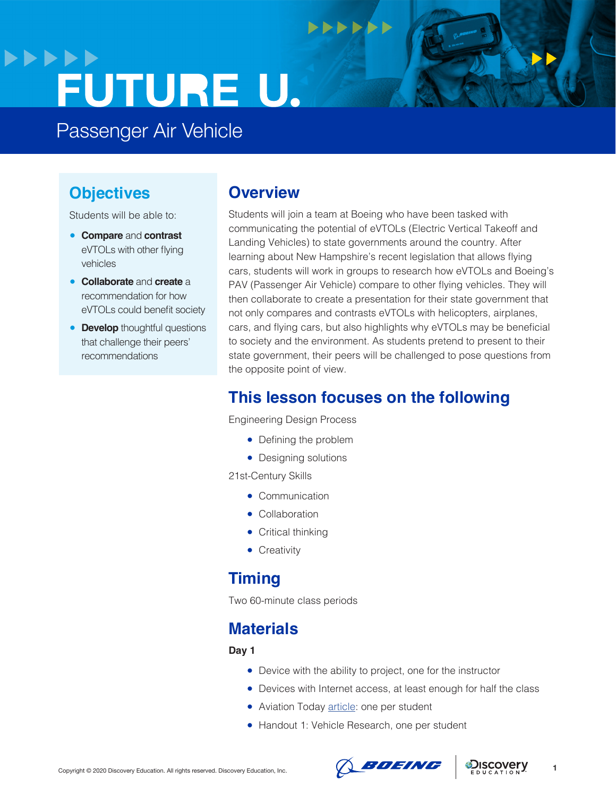## **>>>>>> FUTURE U.**

Passenger Air Vehicle

## **Objectives**

Students will be able to:

- **Compare** and **contrast**  eVTOLs with other flying vehicles
- **Collaborate** and **create** a recommendation for how eVTOLs could benefit society
- **Develop** thoughtful questions that challenge their peers' recommendations

## **Overview**

Students will join a team at Boeing who have been tasked with communicating the potential of eVTOLs (Electric Vertical Takeoff and Landing Vehicles) to state governments around the country. After learning about New Hampshire's recent legislation that allows flying cars, students will work in groups to research how eVTOLs and Boeing's PAV (Passenger Air Vehicle) compare to other flying vehicles. They will then collaborate to create a presentation for their state government that not only compares and contrasts eVTOLs with helicopters, airplanes, cars, and flying cars, but also highlights why eVTOLs may be beneficial to society and the environment. As students pretend to present to their state government, their peers will be challenged to pose questions from the opposite point of view.

## **This lesson focuses on the following**

**NNNNNN** 

Engineering Design Process

- Defining the problem
- Designing solutions

21st-Century Skills

- Communication
- Collaboration
- Critical thinking
- Creativity

## **Timing**

Two 60-minute class periods

## **Materials**

#### **Day 1**

- Device with the ability to project, one for the instructor
- Devices with Internet access, at least enough for half the class
- Aviation Today [article](https://www.aviationtoday.com/2020/08/04/will-new-hampshires-landmark-flying-car-bill-lay-groundwork-air-taxis/): one per student
- Handout 1: Vehicle Research, one per student



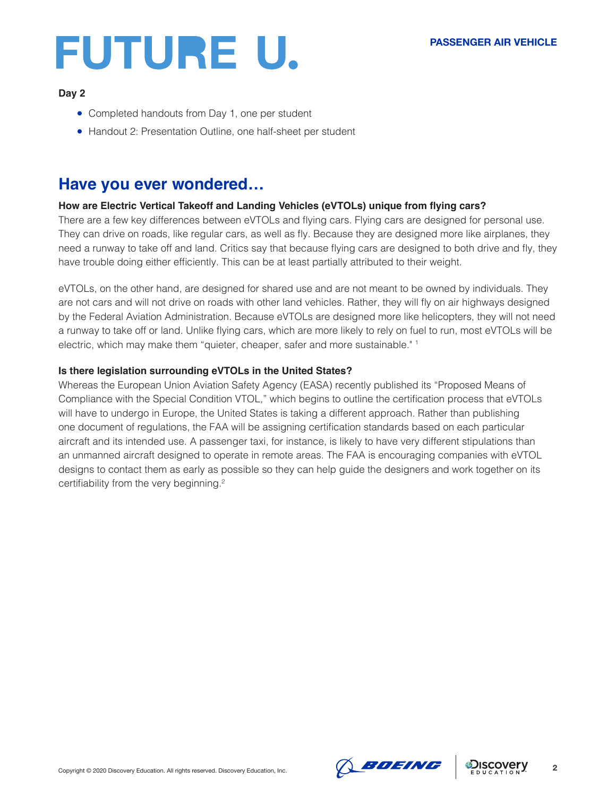

#### **Day 2**

- Completed handouts from Day 1, one per student
- Handout 2: Presentation Outline, one half-sheet per student

## **Have you ever wondered…**

### **How are Electric Vertical Takeoff and Landing Vehicles (eVTOLs) unique from flying cars?**

There are a few key differences between eVTOLs and flying cars. Flying cars are designed for personal use. They can drive on roads, like regular cars, as well as fly. Because they are designed more like airplanes, they need a runway to take off and land. Critics say that because flying cars are designed to both drive and fly, they have trouble doing either efficiently. This can be at least partially attributed to their weight.

eVTOLs, on the other hand, are designed for shared use and are not meant to be owned by individuals. They are not cars and will not drive on roads with other land vehicles. Rather, they will fly on air highways designed by the Federal Aviation Administration. Because eVTOLs are designed more like helicopters, they will not need a runway to take off or land. Unlike flying cars, which are more likely to rely on fuel to run, most eVTOLs will be electric, which may make them "quieter, cheaper, safer and more sustainable." 1

### **Is there legislation surrounding eVTOLs in the United States?**

Whereas the European Union Aviation Safety Agency (EASA) recently published its "Proposed Means of Compliance with the Special Condition VTOL," which begins to outline the certification process that eVTOLs will have to undergo in Europe, the United States is taking a different approach. Rather than publishing one document of regulations, the FAA will be assigning certification standards based on each particular aircraft and its intended use. A passenger taxi, for instance, is likely to have very different stipulations than an unmanned aircraft designed to operate in remote areas. The FAA is encouraging companies with eVTOL designs to contact them as early as possible so they can help guide the designers and work together on its certifiability from the very beginning.<sup>2</sup>

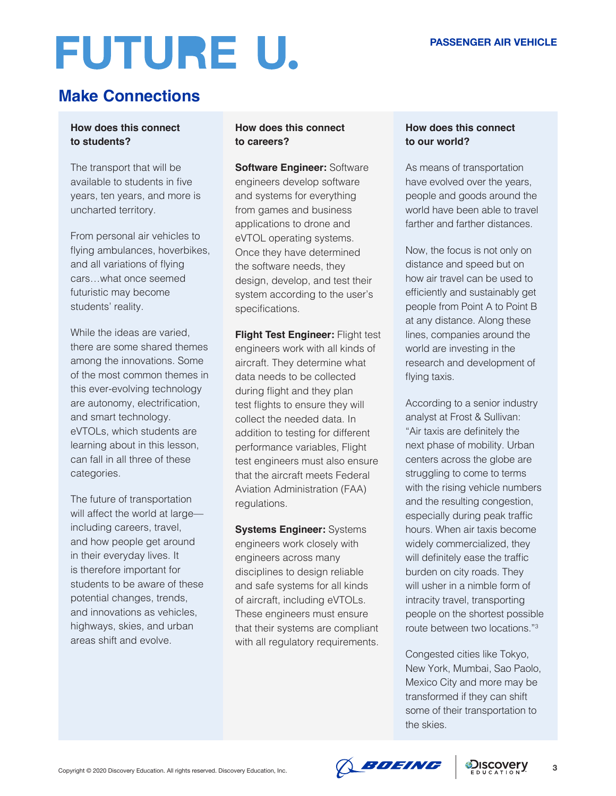## **Make Connections**

## **How does this connect to students?**

The transport that will be available to students in five years, ten years, and more is uncharted territory.

From personal air vehicles to flying ambulances, hoverbikes, and all variations of flying cars…what once seemed futuristic may become students' reality.

While the ideas are varied, there are some shared themes among the innovations. Some of the most common themes in this ever-evolving technology are autonomy, electrification, and smart technology. eVTOLs, which students are learning about in this lesson, can fall in all three of these categories.

The future of transportation will affect the world at large including careers, travel, and how people get around in their everyday lives. It is therefore important for students to be aware of these potential changes, trends, and innovations as vehicles, highways, skies, and urban areas shift and evolve.

## **How does this connect to careers?**

**Software Engineer: Software** engineers develop software and systems for everything from games and business applications to drone and eVTOL operating systems. Once they have determined the software needs, they design, develop, and test their system according to the user's specifications.

**Flight Test Engineer: Flight test** engineers work with all kinds of aircraft. They determine what data needs to be collected during flight and they plan test flights to ensure they will collect the needed data. In addition to testing for different performance variables, Flight test engineers must also ensure that the aircraft meets Federal Aviation Administration (FAA) regulations.

**Systems Engineer:** Systems engineers work closely with engineers across many disciplines to design reliable and safe systems for all kinds of aircraft, including eVTOLs. These engineers must ensure that their systems are compliant with all regulatory requirements.

## **How does this connect to our world?**

As means of transportation have evolved over the years, people and goods around the world have been able to travel farther and farther distances.

Now, the focus is not only on distance and speed but on how air travel can be used to efficiently and sustainably get people from Point A to Point B at any distance. Along these lines, companies around the world are investing in the research and development of flying taxis.

According to a senior industry analyst at Frost & Sullivan: "Air taxis are definitely the next phase of mobility. Urban centers across the globe are struggling to come to terms with the rising vehicle numbers and the resulting congestion, especially during peak traffic hours. When air taxis become widely commercialized, they will definitely ease the traffic burden on city roads. They will usher in a nimble form of intracity travel, transporting people on the shortest possible route between two locations."3

Congested cities like Tokyo, New York, Mumbai, Sao Paolo, Mexico City and more may be transformed if they can shift some of their transportation to the skies.

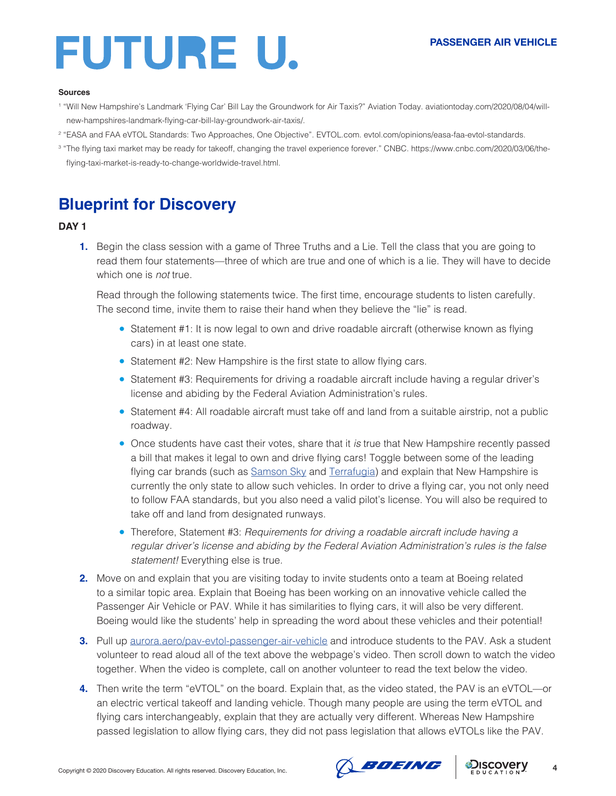### **PASSENGER AIR VEHICLE**



#### **Sources**

- 1 "Will New Hampshire's Landmark 'Flying Car' Bill Lay the Groundwork for Air Taxis?" Aviation Today. aviationtoday.com/2020/08/04/willnew-hampshires-landmark-flying-car-bill-lay-groundwork-air-taxis/.
- 2 "EASA and FAA eVTOL Standards: Two Approaches, One Objective". EVTOL.com. evtol.com/opinions/easa-faa-evtol-standards.
- 3 "The flying taxi market may be ready for takeoff, changing the travel experience forever." CNBC. https://www.cnbc.com/2020/03/06/theflying-taxi-market-is-ready-to-change-worldwide-travel.html.

## **Blueprint for Discovery**

#### **DAY 1**

**1.** Begin the class session with a game of Three Truths and a Lie. Tell the class that you are going to read them four statements—three of which are true and one of which is a lie. They will have to decide which one is *not* true.

Read through the following statements twice. The first time, encourage students to listen carefully. The second time, invite them to raise their hand when they believe the "lie" is read.

- Statement #1: It is now legal to own and drive roadable aircraft (otherwise known as flying cars) in at least one state.
- Statement #2: New Hampshire is the first state to allow flying cars.
- Statement #3: Requirements for driving a roadable aircraft include having a reqular driver's license and abiding by the Federal Aviation Administration's rules.
- Statement #4: All roadable aircraft must take off and land from a suitable airstrip, not a public roadway.
- Once students have cast their votes, share that it *is* true that New Hampshire recently passed a bill that makes it legal to own and drive flying cars! Toggle between some of the leading flying car brands (such as [Samson Sky](https://www.samsonsky.com/specs/) and [Terrafugia\)](https://terrafugia.com/) and explain that New Hampshire is currently the only state to allow such vehicles. In order to drive a flying car, you not only need to follow FAA standards, but you also need a valid pilot's license. You will also be required to take off and land from designated runways.
- Therefore, Statement #3: *Requirements for driving a roadable aircraft include having a regular driver's license and abiding by the Federal Aviation Administration's rules is the false statement!* Everything else is true.
- **2.** Move on and explain that you are visiting today to invite students onto a team at Boeing related to a similar topic area. Explain that Boeing has been working on an innovative vehicle called the Passenger Air Vehicle or PAV. While it has similarities to flying cars, it will also be very different. Boeing would like the students' help in spreading the word about these vehicles and their potential!
- **3.** Pull up **[aurora.aero/pav-evtol-passenger-air-vehicle](http://aurora.aero/pav-evtol-passenger-air-vehicle)** and introduce students to the PAV. Ask a student volunteer to read aloud all of the text above the webpage's video. Then scroll down to watch the video together. When the video is complete, call on another volunteer to read the text below the video.
- **4.** Then write the term "eVTOL" on the board. Explain that, as the video stated, the PAV is an eVTOL—or an electric vertical takeoff and landing vehicle. Though many people are using the term eVTOL and flying cars interchangeably, explain that they are actually very different. Whereas New Hampshire passed legislation to allow flying cars, they did not pass legislation that allows eVTOLs like the PAV.



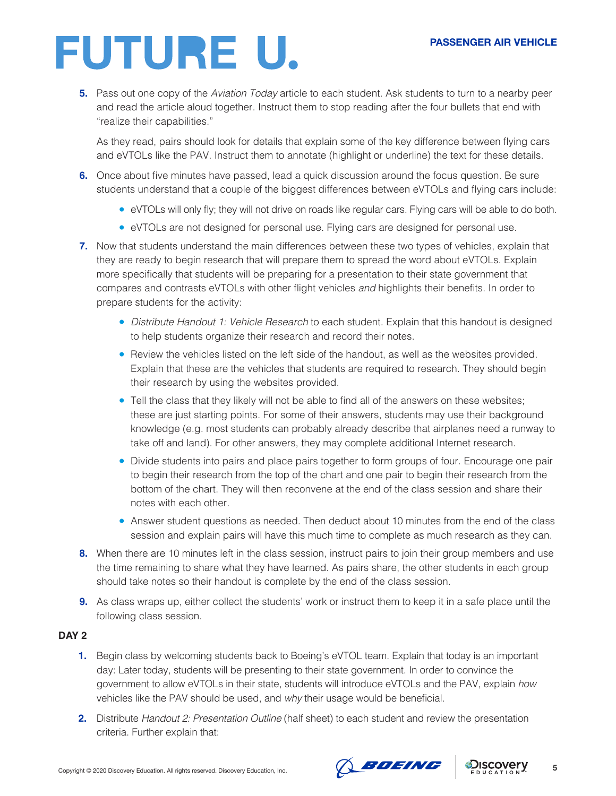#### **PASSENGER AIR VEHICLE**

## **FUTURE U.**

**5.** Pass out one copy of the *Aviation Today* article to each student. Ask students to turn to a nearby peer and read the article aloud together. Instruct them to stop reading after the four bullets that end with "realize their capabilities."

As they read, pairs should look for details that explain some of the key difference between flying cars and eVTOLs like the PAV. Instruct them to annotate (highlight or underline) the text for these details.

- **6.** Once about five minutes have passed, lead a quick discussion around the focus question. Be sure students understand that a couple of the biggest differences between eVTOLs and flying cars include:
	- eVTOLs will only fly; they will not drive on roads like regular cars. Flying cars will be able to do both.
	- eVTOLs are not designed for personal use. Flying cars are designed for personal use.
- **7.** Now that students understand the main differences between these two types of vehicles, explain that they are ready to begin research that will prepare them to spread the word about eVTOLs. Explain more specifically that students will be preparing for a presentation to their state government that compares and contrasts eVTOLs with other flight vehicles *and* highlights their benefits. In order to prepare students for the activity:
	- *Distribute Handout 1: Vehicle Research* to each student. Explain that this handout is designed to help students organize their research and record their notes.
	- Review the vehicles listed on the left side of the handout, as well as the websites provided. Explain that these are the vehicles that students are required to research. They should begin their research by using the websites provided.
	- Tell the class that they likely will not be able to find all of the answers on these websites; these are just starting points. For some of their answers, students may use their background knowledge (e.g. most students can probably already describe that airplanes need a runway to take off and land). For other answers, they may complete additional Internet research.
	- Divide students into pairs and place pairs together to form groups of four. Encourage one pair to begin their research from the top of the chart and one pair to begin their research from the bottom of the chart. They will then reconvene at the end of the class session and share their notes with each other.
	- Answer student questions as needed. Then deduct about 10 minutes from the end of the class session and explain pairs will have this much time to complete as much research as they can.
- **8.** When there are 10 minutes left in the class session, instruct pairs to join their group members and use the time remaining to share what they have learned. As pairs share, the other students in each group should take notes so their handout is complete by the end of the class session.
- **9.** As class wraps up, either collect the students' work or instruct them to keep it in a safe place until the following class session.

## **DAY 2**

- **1.** Begin class by welcoming students back to Boeing's eVTOL team. Explain that today is an important day: Later today, students will be presenting to their state government. In order to convince the government to allow eVTOLs in their state, students will introduce eVTOLs and the PAV, explain *how* vehicles like the PAV should be used, and *why* their usage would be beneficial.
- **2.** Distribute *Handout 2: Presentation Outline* (half sheet) to each student and review the presentation criteria. Further explain that:



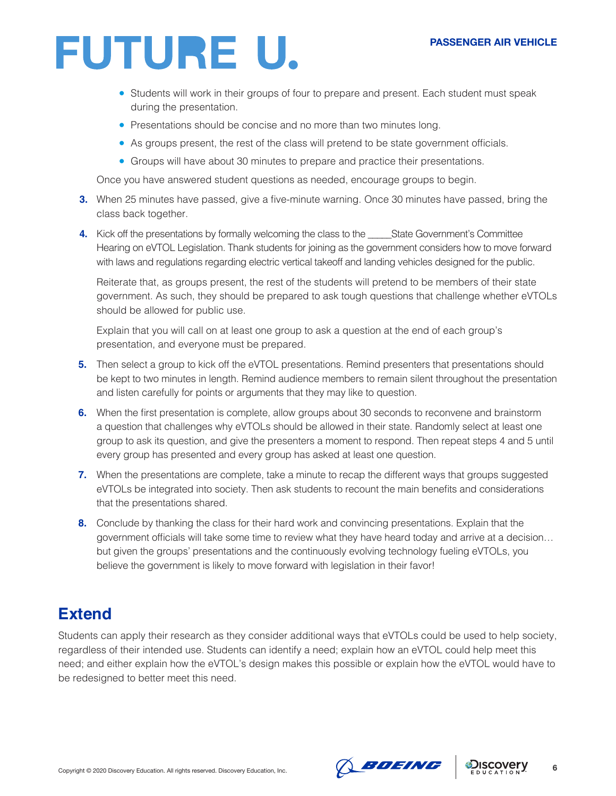- Students will work in their groups of four to prepare and present. Each student must speak during the presentation.
- Presentations should be concise and no more than two minutes long.
- As groups present, the rest of the class will pretend to be state government officials.
- Groups will have about 30 minutes to prepare and practice their presentations.

Once you have answered student questions as needed, encourage groups to begin.

- **3.** When 25 minutes have passed, give a five-minute warning. Once 30 minutes have passed, bring the class back together.
- **4.** Kick off the presentations by formally welcoming the class to the State Government's Committee Hearing on eVTOL Legislation. Thank students for joining as the government considers how to move forward with laws and regulations regarding electric vertical takeoff and landing vehicles designed for the public.

Reiterate that, as groups present, the rest of the students will pretend to be members of their state government. As such, they should be prepared to ask tough questions that challenge whether eVTOLs should be allowed for public use.

Explain that you will call on at least one group to ask a question at the end of each group's presentation, and everyone must be prepared.

- **5.** Then select a group to kick off the eVTOL presentations. Remind presenters that presentations should be kept to two minutes in length. Remind audience members to remain silent throughout the presentation and listen carefully for points or arguments that they may like to question.
- **6.** When the first presentation is complete, allow groups about 30 seconds to reconvene and brainstorm a question that challenges why eVTOLs should be allowed in their state. Randomly select at least one group to ask its question, and give the presenters a moment to respond. Then repeat steps 4 and 5 until every group has presented and every group has asked at least one question.
- **7.** When the presentations are complete, take a minute to recap the different ways that groups suggested eVTOLs be integrated into society. Then ask students to recount the main benefits and considerations that the presentations shared.
- **8.** Conclude by thanking the class for their hard work and convincing presentations. Explain that the government officials will take some time to review what they have heard today and arrive at a decision… but given the groups' presentations and the continuously evolving technology fueling eVTOLs, you believe the government is likely to move forward with legislation in their favor!

## **Extend**

Students can apply their research as they consider additional ways that eVTOLs could be used to help society, regardless of their intended use. Students can identify a need; explain how an eVTOL could help meet this need; and either explain how the eVTOL's design makes this possible or explain how the eVTOL would have to be redesigned to better meet this need.



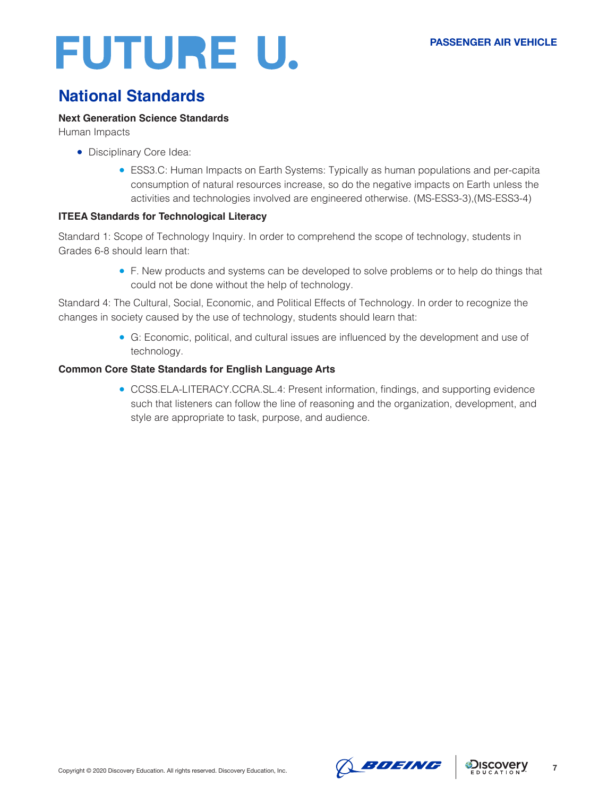## **National Standards**

### **Next Generation Science Standards**

Human Impacts

- Disciplinary Core Idea:
	- ESS3.C: Human Impacts on Earth Systems: Typically as human populations and per-capita consumption of natural resources increase, so do the negative impacts on Earth unless the activities and technologies involved are engineered otherwise. (MS-ESS3-3),(MS-ESS3-4)

## **ITEEA Standards for Technological Literacy**

Standard 1: Scope of Technology Inquiry. In order to comprehend the scope of technology, students in Grades 6-8 should learn that:

> ● F. New products and systems can be developed to solve problems or to help do things that could not be done without the help of technology.

Standard 4: The Cultural, Social, Economic, and Political Effects of Technology. In order to recognize the changes in society caused by the use of technology, students should learn that:

> ● G: Economic, political, and cultural issues are influenced by the development and use of technology.

### **Common Core State Standards for English Language Arts**

● CCSS.ELA-LITERACY.CCRA.SL.4: Present information, findings, and supporting evidence such that listeners can follow the line of reasoning and the organization, development, and style are appropriate to task, purpose, and audience.



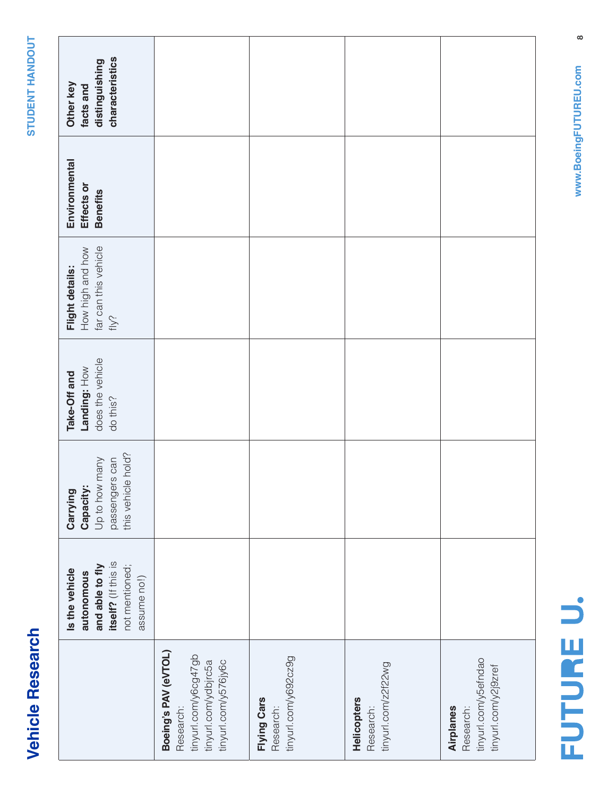| t       |
|---------|
| ¢<br>ı  |
| C       |
| C<br>17 |
|         |
| г       |
|         |
| ٥<br>נ  |
|         |
|         |
|         |
|         |
|         |
|         |
|         |

|                                                                                                           | itself? (If this is<br>and able to fly<br>not mentioned;<br>Is the vehicle<br>autonomous<br>assume no!) | this vehicle hold?<br>Up to how many<br>passengers can<br>Capacity:<br>Carrying | does the vehicle<br>Landing: How<br>Take-Off and<br>do this? | far can this vehicle<br>How high and how<br>Flight details:<br>fly? | Environmental<br>Effects or<br><b>Benefits</b> | characteristics<br>distinguishing<br>Other key<br>facts and |
|-----------------------------------------------------------------------------------------------------------|---------------------------------------------------------------------------------------------------------|---------------------------------------------------------------------------------|--------------------------------------------------------------|---------------------------------------------------------------------|------------------------------------------------|-------------------------------------------------------------|
| Boeing's PAV (eVTOL)<br>tinyurl.com/y6cg47gb<br>tinyurl.com/y576jy6c<br>tinyurl.com/ydbjrc5a<br>Research: |                                                                                                         |                                                                                 |                                                              |                                                                     |                                                |                                                             |
| tinyurl.com/y692cz9g<br>Flying Cars<br>Research:                                                          |                                                                                                         |                                                                                 |                                                              |                                                                     |                                                |                                                             |
| tinyurl.com/z2f22wg<br><b>Helicopters</b><br>Research:                                                    |                                                                                                         |                                                                                 |                                                              |                                                                     |                                                |                                                             |
| tinyurl.com/y5efndao<br>tinyurl.com/y2j9zref<br>Research:<br>Airplanes                                    |                                                                                                         |                                                                                 |                                                              |                                                                     |                                                |                                                             |

 $\infty$